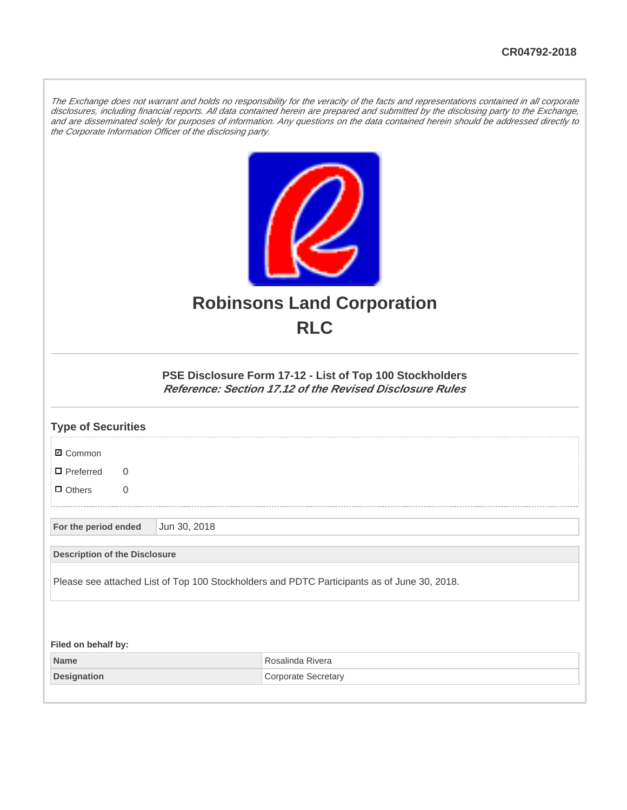The Exchange does not warrant and holds no responsibility for the veracity of the facts and representations contained in all corporate disclosures, including financial reports. All data contained herein are prepared and submitted by the disclosing party to the Exchange, and are disseminated solely for purposes of information. Any questions on the data contained herein should be addressed directly to the Corporate Information Officer of the disclosing party.



## **Robinsons Land Corporation RLC**

## **PSE Disclosure Form 17-12 - List of Top 100 Stockholders Reference: Section 17.12 of the Revised Disclosure Rules**

| <b>Type of Securities</b>                                                                   |              |                            |  |  |
|---------------------------------------------------------------------------------------------|--------------|----------------------------|--|--|
| <b>Ø</b> Common                                                                             |              |                            |  |  |
| $\blacksquare$ Preferred<br>$\Omega$                                                        |              |                            |  |  |
| $\Box$ Others<br>0                                                                          |              |                            |  |  |
| For the period ended                                                                        | Jun 30, 2018 |                            |  |  |
| <b>Description of the Disclosure</b>                                                        |              |                            |  |  |
| Please see attached List of Top 100 Stockholders and PDTC Participants as of June 30, 2018. |              |                            |  |  |
|                                                                                             |              |                            |  |  |
| Filed on behalf by:                                                                         |              |                            |  |  |
| <b>Name</b>                                                                                 |              | Rosalinda Rivera           |  |  |
| <b>Designation</b>                                                                          |              | <b>Corporate Secretary</b> |  |  |
|                                                                                             |              |                            |  |  |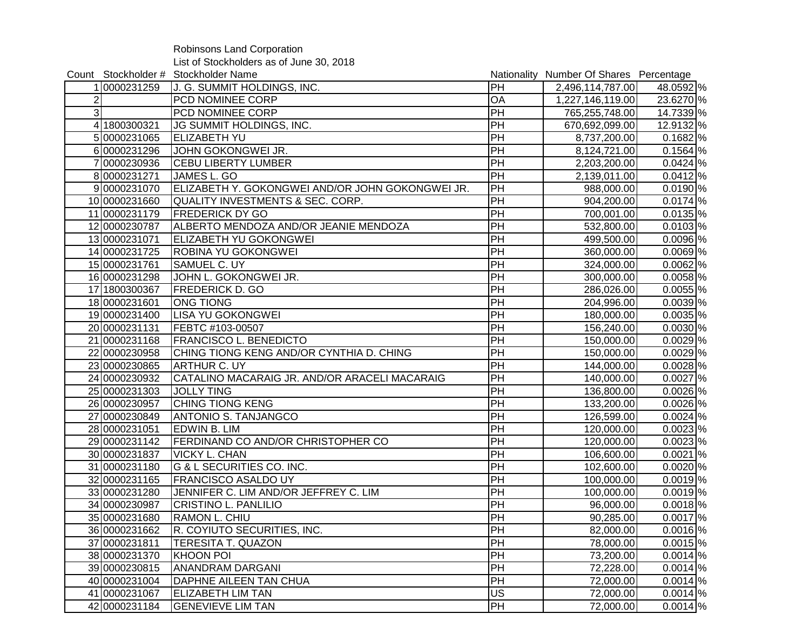Robinsons Land Corporation List of Stockholders as of June 30, 2018

|                |               | Count Stockholder # Stockholder Name             |           | Nationality Number Of Shares Percentage |                       |
|----------------|---------------|--------------------------------------------------|-----------|-----------------------------------------|-----------------------|
|                | 10000231259   | J. G. SUMMIT HOLDINGS, INC.                      | PH        | 2,496,114,787.00                        | 48.0592 %             |
| $\overline{c}$ |               | <b>PCD NOMINEE CORP</b>                          | OA        | 1,227,146,119.00                        | 23.6270 %             |
| 3 <sup>1</sup> |               | PCD NOMINEE CORP                                 | PH        | 765,255,748.00                          | 14.7339 %             |
|                | 41800300321   | JG SUMMIT HOLDINGS, INC.                         | PH        | 670,692,099.00                          | 12.9132 %             |
|                | 50000231065   | <b>ELIZABETH YU</b>                              | PH        | 8,737,200.00                            | $0.1682\%$            |
|                | 60000231296   | JOHN GOKONGWEI JR.                               | PH        | 8,124,721.00                            | $0.1564\sqrt{ }$ %    |
|                | 70000230936   | <b>CEBU LIBERTY LUMBER</b>                       | PH        | 2,203,200.00                            | $0.0424$ %            |
|                | 80000231271   | JAMES L. GO                                      | PH        | 2,139,011.00                            | $0.0412\frac{8}{6}$   |
|                | 90000231070   | ELIZABETH Y. GOKONGWEI AND/OR JOHN GOKONGWEI JR. | PH        | 988,000.00                              | $0.0190\%$            |
|                | 100000231660  | <b>QUALITY INVESTMENTS &amp; SEC. CORP.</b>      | PH        | 904,200.00                              | $0.0174$ %            |
|                | 11 0000231179 | <b>FREDERICK DY GO</b>                           | PH        | 700,001.00                              | $\overline{0.0135}$ % |
|                | 12 0000230787 | ALBERTO MENDOZA AND/OR JEANIE MENDOZA            | PH        | 532,800.00                              | $0.0103\%$            |
|                | 130000231071  | <b>ELIZABETH YU GOKONGWEI</b>                    | PH        | 499,500.00                              | $0.0096$ %            |
|                | 14 0000231725 | <b>ROBINA YU GOKONGWEI</b>                       | PH        | 360,000.00                              | $0.0069$ %            |
|                | 15 0000231761 | SAMUEL C. UY                                     | PH        | 324,000.00                              | $0.0062\%$            |
|                | 16 0000231298 | JOHN L. GOKONGWEI JR.                            | PH        | 300,000.00                              | $0.0058\%$            |
|                | 17 1800300367 | <b>FREDERICK D. GO</b>                           | PH        | 286,026.00                              | $0.0055$ %            |
|                | 180000231601  | <b>ONG TIONG</b>                                 | PH        | 204,996.00                              | $0.0039$ %            |
|                | 190000231400  | <b>LISA YU GOKONGWEI</b>                         | PH        | 180,000.00                              | $\overline{0.0035}$ % |
|                | 200000231131  | FEBTC #103-00507                                 | PH        | 156,240.00                              | $0.0030\%$            |
|                | 21 0000231168 | <b>FRANCISCO L. BENEDICTO</b>                    | PH        | 150,000.00                              | $0.0029$ %            |
|                | 22 0000230958 | CHING TIONG KENG AND/OR CYNTHIA D. CHING         | PH        | 150,000.00                              | $0.0029$ %            |
|                | 230000230865  | <b>ARTHUR C. UY</b>                              | PH        | 144,000.00                              | $0.0028$  %           |
|                | 24 0000230932 | CATALINO MACARAIG JR. AND/OR ARACELI MACARAIG    | PH        | 140,000.00                              | $0.0027$ %            |
|                | 25 0000231303 | <b>JOLLY TING</b>                                | PH        | 136,800.00                              | $0.0026$ %            |
|                | 26 0000230957 | <b>CHING TIONG KENG</b>                          | PH        | 133,200.00                              | $0.0026$ %            |
|                | 27 0000230849 | <b>ANTONIO S. TANJANGCO</b>                      | PH        | 126,599.00                              | $0.0024$ %            |
|                | 28 0000231051 | <b>EDWIN B. LIM</b>                              | PH        | 120,000.00                              | $0.0023$  %           |
|                | 29 0000231142 | FERDINAND CO AND/OR CHRISTOPHER CO               | PH        | 120,000.00                              | $0.0023$  %           |
|                | 30 0000231837 | <b>VICKY L. CHAN</b>                             | PH        | 106,600.00                              | $0.0021$ \%           |
|                | 31 0000231180 | G & L SECURITIES CO. INC.                        | PH        | 102,600.00                              | $\overline{0.0020}$ % |
|                | 32 0000231165 | <b>FRANCISCO ASALDO UY</b>                       | PH        | 100,000.00                              | $\overline{0.0019}$ % |
|                | 330000231280  | JENNIFER C. LIM AND/OR JEFFREY C. LIM            | PH        | 100,000.00                              | $0.0019$ %            |
|                | 34 0000230987 | <b>CRISTINO L. PANLILIO</b>                      | PH        | 96,000.00                               | $\overline{0.0018}$ % |
|                | 35 0000231680 | RAMON L. CHIU                                    | PH        | 90,285.00                               | $0.0017$ %            |
|                | 36 0000231662 | R. COYIUTO SECURITIES, INC.                      | <b>PH</b> | 82,000.00                               | $0.0016$ %            |
|                | 37 0000231811 | <b>TERESITA T. QUAZON</b>                        | PH        | 78,000.00                               | $0.0015$ %            |
|                | 38 0000231370 | <b>KHOON POI</b>                                 | PH        | 73,200.00                               | $0.0014$ %            |
|                | 39 0000230815 | <b>ANANDRAM DARGANI</b>                          | PH        | 72,228.00                               | $0.0014$ %            |
|                | 40 0000231004 | DAPHNE AILEEN TAN CHUA                           | PH        | 72,000.00                               | $0.0014$ %            |
|                | 41 0000231067 | <b>ELIZABETH LIM TAN</b>                         | US        | 72,000.00                               | $0.0014$ %            |
|                | 42 0000231184 | <b>GENEVIEVE LIM TAN</b>                         | PH        | 72,000.00                               | $0.0014$ %            |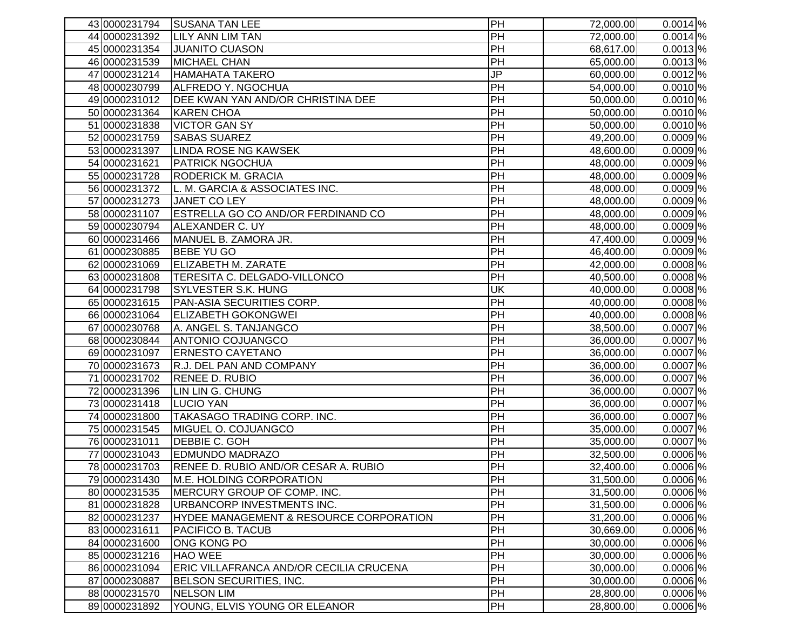| 43 0000231794                  | <b>SUSANA TAN LEE</b>                                          | PH              | 72,000.00              | $0.0014$ %               |
|--------------------------------|----------------------------------------------------------------|-----------------|------------------------|--------------------------|
| 44 0000231392                  | <b>LILY ANN LIM TAN</b>                                        | PH              | 72,000.00              | $0.0014$ %               |
| 45 0000231354                  | <b>JUANITO CUASON</b>                                          | PH              | 68,617.00              | $0.0013$ %               |
| 46 0000231539                  | MICHAEL CHAN                                                   | PH              | 65,000.00              | $0.0013$ %               |
| 47 0000231214                  | <b>HAMAHATA TAKERO</b>                                         | JP              | 60,000.00              | $\overline{0.0012}$ %    |
| 48 0000230799                  | ALFREDO Y. NGOCHUA                                             | PH              | 54,000.00              | $\overline{0.0010}$ %    |
| 49 0000231012                  | DEE KWAN YAN AND/OR CHRISTINA DEE                              | PH              | 50,000.00              | $0.0010$ %               |
| 500000231364                   | <b>KAREN CHOA</b>                                              | PH              | 50,000.00              | $0.0010\%$               |
| 51 0000231838                  | <b>VICTOR GAN SY</b>                                           | PH              | 50,000.00              | $0.0010$ %               |
| 52 0000231759                  | <b>SABAS SUAREZ</b>                                            | PH              | 49,200.00              | $0.0009\%$               |
| 53 0000231397                  | LINDA ROSE NG KAWSEK                                           | PH              | 48,600.00              | $0.0009$ %               |
| 54 0000231621                  | <b>PATRICK NGOCHUA</b>                                         | $\overline{PH}$ | 48,000.00              | $0.0009$ %               |
| 55 0000231728                  | <b>RODERICK M. GRACIA</b>                                      | PH              | 48,000.00              | $0.0009$ %               |
| 56 0000231372                  | L. M. GARCIA & ASSOCIATES INC.                                 | PH              | 48,000.00              | $0.0009$ %               |
| 57 0000231273                  | JANET CO LEY                                                   | PH              | 48,000.00              | $0.0009\%$               |
| 58 0000231107                  | ESTRELLA GO CO AND/OR FERDINAND CO                             | PH              | 48,000.00              | $0.0009\%$               |
| 59 0000230794                  | ALEXANDER C. UY                                                | PH              | 48,000.00              | $\overline{0.0009}$ %    |
| 60 0000231466                  | MANUEL B. ZAMORA JR.                                           | PH              | 47,400.00              | $0.0009\%$               |
| 61 0000230885                  | <b>BEBE YU GO</b>                                              | PH              | 46,400.00              | $0.0009$ %               |
| 620000231069                   | <b>ELIZABETH M. ZARATE</b>                                     | $\overline{PH}$ | 42,000.00              | $0.0008\%$               |
| 630000231808                   | TERESITA C. DELGADO-VILLONCO                                   | PH              | 40,500.00              | $0.0008$ %               |
| 64 0000231798                  | <b>SYLVESTER S.K. HUNG</b>                                     | UK              | 40,000.00              | $0.0008$ %               |
| 65 0000231615                  | PAN-ASIA SECURITIES CORP.                                      | PH              | 40,000.00              | $0.0008$ %               |
| 66 0000231064                  | <b>ELIZABETH GOKONGWEI</b>                                     | PH              | 40,000.00              | $0.0008$ %               |
| 67 0000230768                  | A. ANGEL S. TANJANGCO                                          | PH              | 38,500.00              | $0.0007\%$               |
| 68 0000230844                  | <b>ANTONIO COJUANGCO</b>                                       | PH              | 36,000.00              | $0.0007$ %               |
| 69 0000231097                  | <b>ERNESTO CAYETANO</b>                                        | PH              | 36,000.00              | $0.0007\%$               |
| 70 0000231673                  | R.J. DEL PAN AND COMPANY                                       | $\overline{PH}$ | 36,000.00              | $0.0007\%$               |
| 710000231702                   | <b>RENEE D. RUBIO</b>                                          | $\overline{PH}$ | 36,000.00              | $0.0007$ %               |
| 72 0000231396                  | LIN LIN G. CHUNG                                               | PH              | 36,000.00              | $0.0007$ %               |
| 730000231418                   | <b>LUCIO YAN</b>                                               | PH              | 36,000.00              | $0.0007$ %               |
| 74 0000231800                  | TAKASAGO TRADING CORP. INC.                                    | $\overline{PH}$ | 36,000.00              | $0.0007$ %               |
| 75 0000231545                  | MIGUEL O. COJUANGCO                                            | $\overline{PH}$ | 35,000.00              | $0.0007$ %               |
| 76 0000231011                  | DEBBIE C. GOH                                                  | PH<br>PH        | 35,000.00              | $0.0007$ %               |
| 77 0000231043<br>78 0000231703 | <b>EDMUNDO MADRAZO</b><br>RENEE D. RUBIO AND/OR CESAR A. RUBIO | PH              | 32,500.00              | $0.0006$ %<br>$0.0006$ % |
| 79 0000231430                  | M.E. HOLDING CORPORATION                                       | PH              | 32,400.00<br>31,500.00 | $0.0006$ %               |
| 80 0000231535                  | MERCURY GROUP OF COMP. INC.                                    | PH              | 31,500.00              | $0.0006$ %               |
| 81 0000231828                  | URBANCORP INVESTMENTS INC.                                     | PH              | 31,500.00              | $0.0006$ %               |
| 82 0000231237                  | HYDEE MANAGEMENT & RESOURCE CORPORATION                        | PH              | 31,200.00              | $0.0006$ %               |
| 830000231611                   | PACIFICO B. TACUB                                              | PH              | 30,669.00              | $0.0006$ %               |
| 84 0000231600                  | <b>ONG KONG PO</b>                                             | PH              | 30,000.00              | $0.0006$ %               |
| 85 0000231216                  | <b>HAO WEE</b>                                                 | PH              | 30,000.00              | $0.0006$ %               |
| 86 0000231094                  | ERIC VILLAFRANCA AND/OR CECILIA CRUCENA                        | PH              | 30,000.00              | $0.0006$ %               |
| 87 0000230887                  | BELSON SECURITIES, INC.                                        | PH              | 30,000.00              | $0.0006$ %               |
| 88 0000231570                  | <b>NELSON LIM</b>                                              | PH              | 28,800.00              | $0.0006$ %               |
| 89 0000231892                  | YOUNG, ELVIS YOUNG OR ELEANOR                                  | PH              | 28,800.00              | $0.0006$ %               |
|                                |                                                                |                 |                        |                          |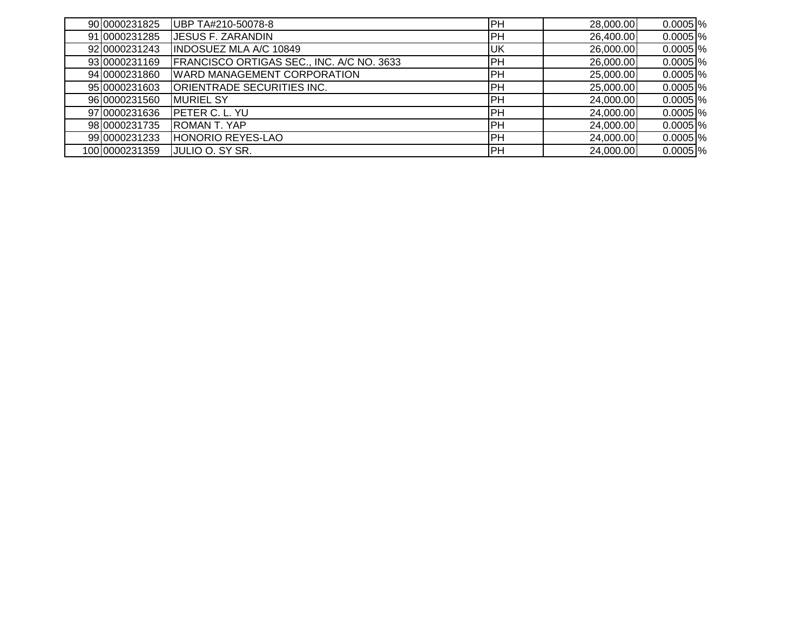| 90 0000231825  | UBP TA#210-50078-8                        | PH         | 28,000.00 | $0.0005$ %  |
|----------------|-------------------------------------------|------------|-----------|-------------|
| 91 0000231285  | <b>JESUS F. ZARANDIN</b>                  | <b>PH</b>  | 26,400.00 | $0.0005$ %  |
| 92 0000231243  | <b>INDOSUEZ MLA A/C 10849</b>             | <b>UK</b>  | 26,000.00 | $0.0005$ %  |
| 93 0000231169  | FRANCISCO ORTIGAS SEC., INC. A/C NO. 3633 | IPH        | 26,000.00 | $0.0005$ %  |
| 94 0000231860  | <b>WARD MANAGEMENT CORPORATION</b>        | PH         | 25,000.00 | $0.0005$ %  |
| 95 0000231603  | ORIENTRADE SECURITIES INC.                | IPH.       | 25,000.00 | $0.0005$ %  |
| 96 0000231560  | <b>MURIEL SY</b>                          | IPH        | 24,000.00 | $0.0005$ %  |
| 97 0000231636  | <b>IPETER C. L. YU</b>                    | <b>IPH</b> | 24,000.00 | $0.0005$ %  |
| 98 0000231735  | <b>ROMAN T. YAP</b>                       | IPH.       | 24,000.00 | $0.0005$  % |
| 99 0000231233  | HONORIO REYES-LAO                         | IPH        | 24,000.00 | $0.0005$ %  |
| 100 0000231359 | JULIO O. SY SR.                           | PH         | 24,000.00 | $0.0005$ %  |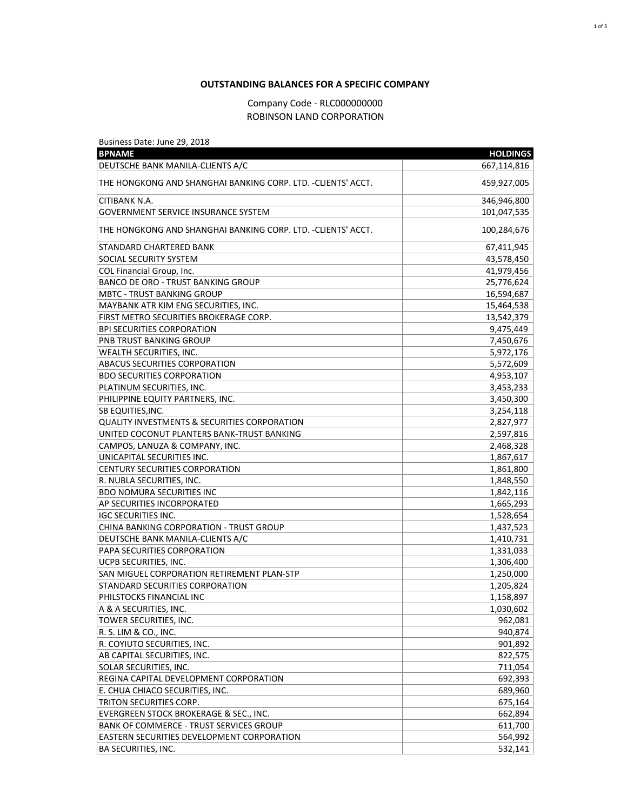## **OUTSTANDING BALANCES FOR A SPECIFIC COMPANY**

## Company Code - RLC000000000 ROBINSON LAND CORPORATION

| Business Date: June 29, 2018<br><b>BPNAME</b>                | <b>HOLDINGS</b> |
|--------------------------------------------------------------|-----------------|
| DEUTSCHE BANK MANILA-CLIENTS A/C                             | 667,114,816     |
| THE HONGKONG AND SHANGHAI BANKING CORP. LTD. -CLIENTS' ACCT. | 459,927,005     |
| CITIBANK N.A.                                                | 346,946,800     |
| GOVERNMENT SERVICE INSURANCE SYSTEM                          | 101,047,535     |
| THE HONGKONG AND SHANGHAI BANKING CORP. LTD. -CLIENTS' ACCT. | 100,284,676     |
| STANDARD CHARTERED BANK                                      | 67,411,945      |
| <b>SOCIAL SECURITY SYSTEM</b>                                | 43,578,450      |
| COL Financial Group, Inc.                                    | 41,979,456      |
| <b>BANCO DE ORO - TRUST BANKING GROUP</b>                    | 25,776,624      |
| <b>MBTC - TRUST BANKING GROUP</b>                            | 16,594,687      |
| MAYBANK ATR KIM ENG SECURITIES, INC.                         | 15,464,538      |
| FIRST METRO SECURITIES BROKERAGE CORP.                       | 13,542,379      |
| <b>BPI SECURITIES CORPORATION</b>                            | 9,475,449       |
| <b>PNB TRUST BANKING GROUP</b>                               | 7,450,676       |
| <b>WEALTH SECURITIES, INC.</b>                               | 5,972,176       |
| <b>ABACUS SECURITIES CORPORATION</b>                         | 5,572,609       |
| <b>BDO SECURITIES CORPORATION</b>                            | 4,953,107       |
| PLATINUM SECURITIES, INC.                                    | 3,453,233       |
| PHILIPPINE EQUITY PARTNERS, INC.                             | 3,450,300       |
| ISB EQUITIES,INC.                                            | 3,254,118       |
| QUALITY INVESTMENTS & SECURITIES CORPORATION                 | 2,827,977       |
| UNITED COCONUT PLANTERS BANK-TRUST BANKING                   | 2,597,816       |
| CAMPOS, LANUZA & COMPANY, INC.                               | 2,468,328       |
| UNICAPITAL SECURITIES INC.                                   | 1,867,617       |
| <b>CENTURY SECURITIES CORPORATION</b>                        | 1,861,800       |
| R. NUBLA SECURITIES, INC.                                    | 1,848,550       |
| <b>BDO NOMURA SECURITIES INC</b>                             | 1,842,116       |
| AP SECURITIES INCORPORATED                                   | 1,665,293       |
| <b>IGC SECURITIES INC.</b>                                   | 1,528,654       |
| CHINA BANKING CORPORATION - TRUST GROUP                      | 1,437,523       |
| DEUTSCHE BANK MANILA-CLIENTS A/C                             | 1,410,731       |
| <b>PAPA SECURITIES CORPORATION</b>                           | 1,331,033       |
| <b>UCPB SECURITIES, INC.</b>                                 | 1,306,400       |
| SAN MIGUEL CORPORATION RETIREMENT PLAN-STP                   | 1,250,000       |
| <b>STANDARD SECURITIES CORPORATION</b>                       | 1,205,824       |
| PHILSTOCKS FINANCIAL INC                                     | 1,158,897       |
| A & A SECURITIES, INC.                                       | 1,030,602       |
| TOWER SECURITIES, INC.                                       | 962,081         |
|                                                              |                 |
| R. S. LIM & CO., INC.<br>R. COYIUTO SECURITIES, INC.         | 940,874         |
|                                                              | 901,892         |
| AB CAPITAL SECURITIES, INC.                                  | 822,575         |
| SOLAR SECURITIES, INC.                                       | 711,054         |
| REGINA CAPITAL DEVELOPMENT CORPORATION                       | 692,393         |
| E. CHUA CHIACO SECURITIES, INC.                              | 689,960         |
| TRITON SECURITIES CORP.                                      | 675,164         |
| <b>EVERGREEN STOCK BROKERAGE &amp; SEC., INC.</b>            | 662,894         |
| <b>BANK OF COMMERCE - TRUST SERVICES GROUP</b>               | 611,700         |
| <b>EASTERN SECURITIES DEVELOPMENT CORPORATION</b>            | 564,992         |
| <b>BA SECURITIES, INC.</b>                                   | 532,141         |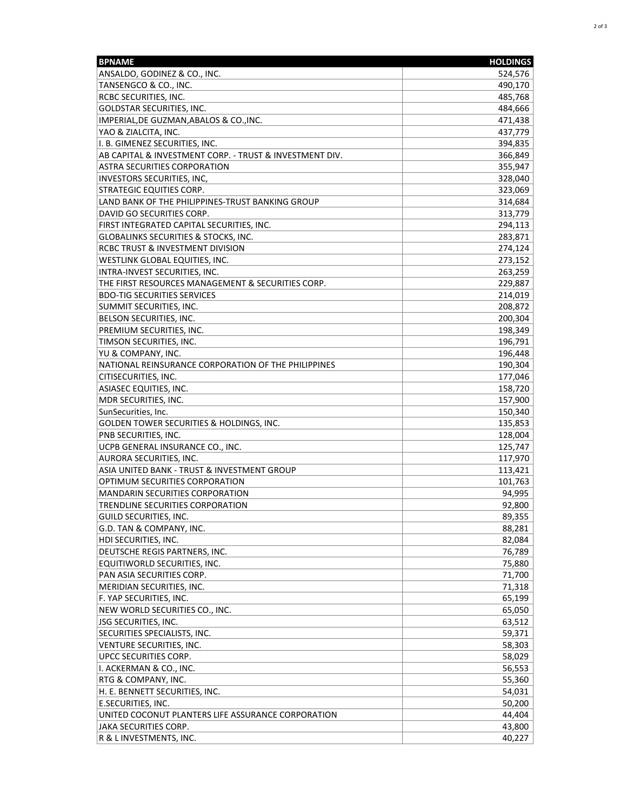| <b>BPNAME</b>                                           | <b>HOLDINGS</b> |
|---------------------------------------------------------|-----------------|
| ANSALDO, GODINEZ & CO., INC.                            | 524,576         |
| TANSENGCO & CO., INC.                                   | 490,170         |
| RCBC SECURITIES, INC.                                   | 485,768         |
| <b>GOLDSTAR SECURITIES, INC.</b>                        | 484,666         |
| IMPERIAL, DE GUZMAN, ABALOS & CO., INC.                 | 471,438         |
| YAO & ZIALCITA, INC.                                    | 437,779         |
| I. B. GIMENEZ SECURITIES, INC.                          | 394,835         |
| AB CAPITAL & INVESTMENT CORP. - TRUST & INVESTMENT DIV. | 366,849         |
| <b>ASTRA SECURITIES CORPORATION</b>                     | 355,947         |
| INVESTORS SECURITIES, INC,                              | 328,040         |
| <b>STRATEGIC EQUITIES CORP.</b>                         | 323,069         |
| LAND BANK OF THE PHILIPPINES-TRUST BANKING GROUP        | 314,684         |
| DAVID GO SECURITIES CORP.                               | 313,779         |
| FIRST INTEGRATED CAPITAL SECURITIES, INC.               | 294,113         |
| GLOBALINKS SECURITIES & STOCKS, INC.                    | 283,871         |
| RCBC TRUST & INVESTMENT DIVISION                        | 274,124         |
| WESTLINK GLOBAL EQUITIES, INC.                          | 273,152         |
| INTRA-INVEST SECURITIES, INC.                           | 263,259         |
| THE FIRST RESOURCES MANAGEMENT & SECURITIES CORP.       | 229,887         |
| <b>BDO-TIG SECURITIES SERVICES</b>                      | 214,019         |
| SUMMIT SECURITIES, INC.                                 | 208,872         |
| <b>BELSON SECURITIES, INC.</b>                          | 200,304         |
| PREMIUM SECURITIES, INC.                                | 198,349         |
| TIMSON SECURITIES, INC.                                 | 196,791         |
| YU & COMPANY, INC.                                      | 196,448         |
| NATIONAL REINSURANCE CORPORATION OF THE PHILIPPINES     | 190,304         |
| CITISECURITIES, INC.                                    | 177,046         |
| ASIASEC EQUITIES, INC.                                  | 158,720         |
| MDR SECURITIES, INC.                                    | 157,900         |
| SunSecurities, Inc.                                     | 150,340         |
| GOLDEN TOWER SECURITIES & HOLDINGS, INC.                | 135,853         |
| PNB SECURITIES, INC.                                    | 128,004         |
| UCPB GENERAL INSURANCE CO., INC.                        | 125,747         |
| AURORA SECURITIES, INC.                                 | 117,970         |
| ASIA UNITED BANK - TRUST & INVESTMENT GROUP             | 113,421         |
| OPTIMUM SECURITIES CORPORATION                          | 101,763         |
| <b>MANDARIN SECURITIES CORPORATION</b>                  | 94,995          |
| TRENDLINE SECURITIES CORPORATION                        | 92,800          |
| GUILD SECURITIES, INC.                                  | 89,355          |
| G.D. TAN & COMPANY, INC.                                | 88,281          |
| HDI SECURITIES, INC.                                    | 82,084          |
| DEUTSCHE REGIS PARTNERS, INC.                           | 76,789          |
| EQUITIWORLD SECURITIES, INC.                            | 75,880          |
| PAN ASIA SECURITIES CORP.                               | 71,700          |
| MERIDIAN SECURITIES, INC.                               | 71,318          |
| F. YAP SECURITIES, INC.                                 | 65,199          |
| NEW WORLD SECURITIES CO., INC.                          | 65,050          |
| <b>JSG SECURITIES, INC.</b>                             | 63,512          |
| SECURITIES SPECIALISTS, INC.                            | 59,371          |
| VENTURE SECURITIES, INC.                                | 58,303          |
| UPCC SECURITIES CORP.                                   | 58,029          |
| I. ACKERMAN & CO., INC.                                 | 56,553          |
| RTG & COMPANY, INC.                                     | 55,360          |
| H. E. BENNETT SECURITIES, INC.                          | 54,031          |
| E.SECURITIES, INC.                                      | 50,200          |
| UNITED COCONUT PLANTERS LIFE ASSURANCE CORPORATION      | 44,404          |
| JAKA SECURITIES CORP.                                   | 43,800          |
| R & L INVESTMENTS, INC.                                 | 40,227          |